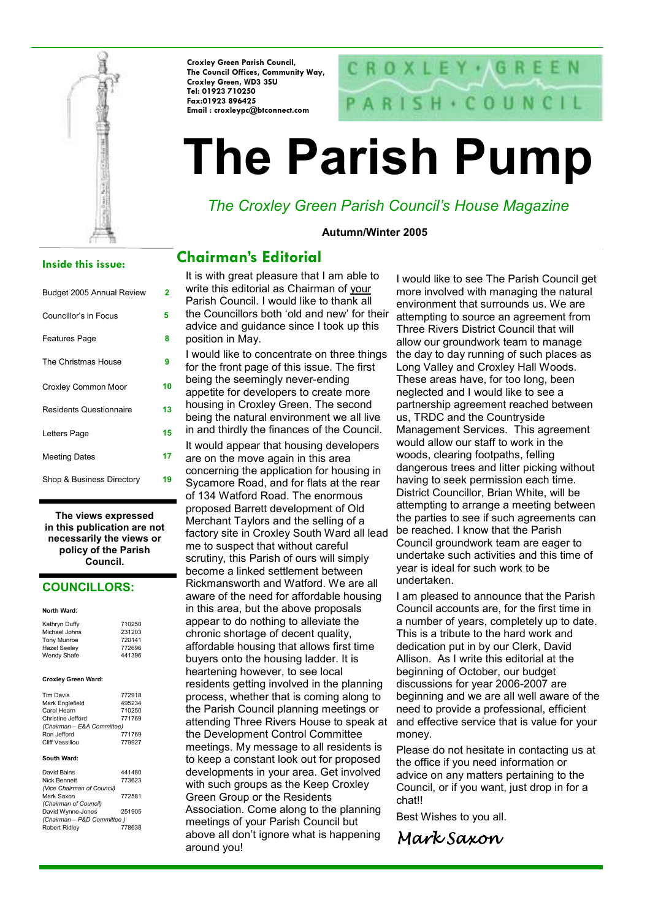

Croxley Green Parish Council, The Council Offices, Community Way, Croxley Green, WD3 3SU Tel: 01923 710250 Fax:01923 896425 Email : croxleypc@btconnect.com

# CROXLEY · GRE  $SH + CO UN CH$

# The Parish Pump

# The Croxley Green Parish Council's House Magazine

#### Autumn/Winter 2005

#### Inside this issue:

| Budget 2005 Annual Review      | 2  |
|--------------------------------|----|
| Councillor's in Focus          | 5  |
| <b>Features Page</b>           | 8  |
| The Christmas House            | 9  |
| Croxley Common Moor            | 10 |
| <b>Residents Questionnaire</b> | 13 |
| Letters Page                   | 15 |
| <b>Meeting Dates</b>           | 17 |
| Shop & Business Directory      | 19 |

The views expressed in this publication are not necessarily the views or policy of the Parish Council.

#### COUNCILLORS:

#### North Ward:

| Kathryn Duffy<br>Michael Johns | 710250<br>231203 |
|--------------------------------|------------------|
| <b>Tony Munroe</b>             | 720141           |
| <b>Hazel Seeley</b>            | 772696           |
| Wendy Shafe                    | 441396           |
|                                |                  |
|                                |                  |

#### Croxley Green Ward:

| <b>Tim Davis</b>           | 772918 |  |  |
|----------------------------|--------|--|--|
| Mark Englefield            | 495234 |  |  |
| Carol Hearn                | 710250 |  |  |
| Christine Jefford          | 771769 |  |  |
| (Chairman - E&A Committee) |        |  |  |
| Ron Jefford                | 771769 |  |  |
| <b>Cliff Vassiliou</b>     | 779927 |  |  |

#### South Ward:

| David Bains                | 441480 |
|----------------------------|--------|
| Nick Bennett               | 773623 |
| (Vice Chairman of Council) |        |
| Mark Saxon                 | 772581 |
| (Chairman of Council)      |        |
| David Wynne-Jones          | 251905 |
| (Chairman - P&D Committee) |        |
| <b>Robert Ridley</b>       | 778638 |

It is with great pleasure that I am able to Chairman's Editorial

write this editorial as Chairman of your Parish Council. I would like to thank all the Councillors both 'old and new' for their advice and guidance since I took up this position in May.

I would like to concentrate on three things for the front page of this issue. The first being the seemingly never-ending appetite for developers to create more housing in Croxley Green. The second being the natural environment we all live in and thirdly the finances of the Council. It would appear that housing developers are on the move again in this area concerning the application for housing in

Sycamore Road, and for flats at the rear of 134 Watford Road. The enormous proposed Barrett development of Old Merchant Taylors and the selling of a factory site in Croxley South Ward all lead me to suspect that without careful scrutiny, this Parish of ours will simply become a linked settlement between Rickmansworth and Watford. We are all aware of the need for affordable housing in this area, but the above proposals appear to do nothing to alleviate the chronic shortage of decent quality, affordable housing that allows first time buyers onto the housing ladder. It is heartening however, to see local residents getting involved in the planning process, whether that is coming along to the Parish Council planning meetings or attending Three Rivers House to speak at the Development Control Committee meetings. My message to all residents is to keep a constant look out for proposed developments in your area. Get involved with such groups as the Keep Croxley Green Group or the Residents Association. Come along to the planning meetings of your Parish Council but above all don't ignore what is happening around you!

I would like to see The Parish Council get more involved with managing the natural environment that surrounds us. We are attempting to source an agreement from Three Rivers District Council that will allow our groundwork team to manage the day to day running of such places as Long Valley and Croxley Hall Woods. These areas have, for too long, been neglected and I would like to see a partnership agreement reached between us, TRDC and the Countryside Management Services. This agreement would allow our staff to work in the woods, clearing footpaths, felling dangerous trees and litter picking without having to seek permission each time. District Councillor, Brian White, will be attempting to arrange a meeting between the parties to see if such agreements can be reached. I know that the Parish Council groundwork team are eager to undertake such activities and this time of year is ideal for such work to be undertaken.

I am pleased to announce that the Parish Council accounts are, for the first time in a number of years, completely up to date. This is a tribute to the hard work and dedication put in by our Clerk, David Allison. As I write this editorial at the beginning of October, our budget discussions for year 2006-2007 are beginning and we are all well aware of the need to provide a professional, efficient and effective service that is value for your money.

Please do not hesitate in contacting us at the office if you need information or advice on any matters pertaining to the Council, or if you want, just drop in for a chat!!

Best Wishes to you all.

Mark Saxon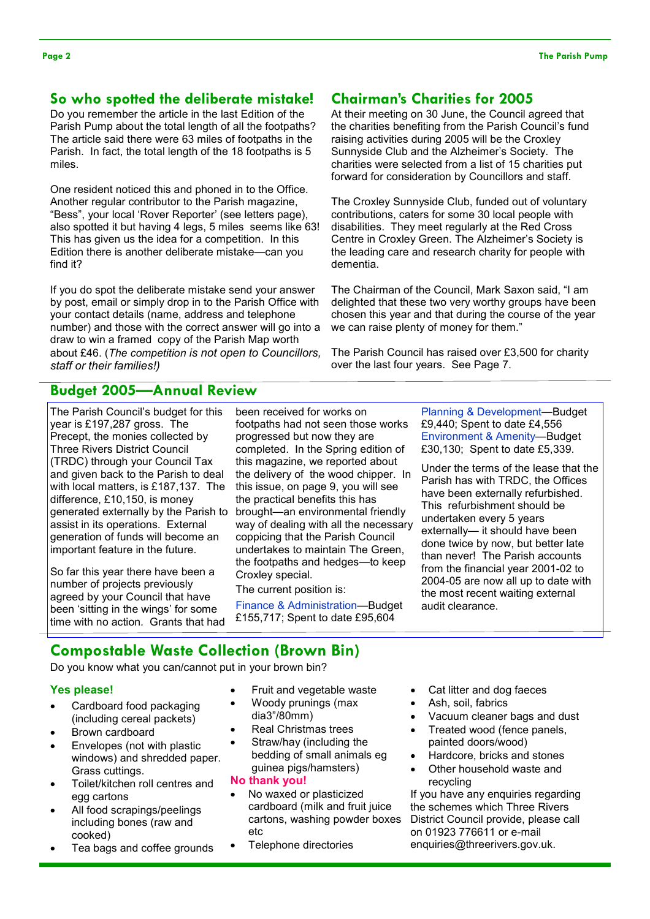#### So who spotted the deliberate mistake!

Do you remember the article in the last Edition of the Parish Pump about the total length of all the footpaths? The article said there were 63 miles of footpaths in the Parish. In fact, the total length of the 18 footpaths is 5 miles.

One resident noticed this and phoned in to the Office. Another regular contributor to the Parish magazine, "Bess", your local 'Rover Reporter' (see letters page), also spotted it but having 4 legs, 5 miles seems like 63! This has given us the idea for a competition. In this Edition there is another deliberate mistake—can you find it?

If you do spot the deliberate mistake send your answer by post, email or simply drop in to the Parish Office with your contact details (name, address and telephone number) and those with the correct answer will go into a draw to win a framed copy of the Parish Map worth about £46. (The competition is not open to Councillors, staff or their families!)

#### Chairman's Charities for 2005

At their meeting on 30 June, the Council agreed that the charities benefiting from the Parish Council's fund raising activities during 2005 will be the Croxley Sunnyside Club and the Alzheimer's Society. The charities were selected from a list of 15 charities put forward for consideration by Councillors and staff.

The Croxley Sunnyside Club, funded out of voluntary contributions, caters for some 30 local people with disabilities. They meet regularly at the Red Cross Centre in Croxley Green. The Alzheimer's Society is the leading care and research charity for people with dementia.

The Chairman of the Council, Mark Saxon said, "I am delighted that these two very worthy groups have been chosen this year and that during the course of the year we can raise plenty of money for them."

The Parish Council has raised over £3,500 for charity over the last four years. See Page 7.

#### Budget 2005—Annual Review

The Parish Council's budget for this year is £197,287 gross. The Precept, the monies collected by Three Rivers District Council (TRDC) through your Council Tax and given back to the Parish to deal with local matters, is £187,137. The difference, £10,150, is money generated externally by the Parish to assist in its operations. External generation of funds will become an important feature in the future.

So far this year there have been a number of projects previously agreed by your Council that have been 'sitting in the wings' for some time with no action. Grants that had

been received for works on footpaths had not seen those works progressed but now they are completed. In the Spring edition of this magazine, we reported about the delivery of the wood chipper. In this issue, on page 9, you will see the practical benefits this has brought—an environmental friendly way of dealing with all the necessary coppicing that the Parish Council undertakes to maintain The Green, the footpaths and hedges—to keep Croxley special.

The current position is:

Finance & Administration—Budget £155,717; Spent to date £95,604

Planning & Development—Budget £9,440; Spent to date £4,556 Environment & Amenity—Budget £30,130; Spent to date £5,339.

Under the terms of the lease that the Parish has with TRDC, the Offices have been externally refurbished. This refurbishment should be undertaken every 5 years externally— it should have been done twice by now, but better late than never! The Parish accounts from the financial year 2001-02 to 2004-05 are now all up to date with the most recent waiting external audit clearance.

#### Compostable Waste Collection (Brown Bin)

Do you know what you can/cannot put in your brown bin?

#### Yes please!

- Cardboard food packaging (including cereal packets)
- Brown cardboard
- Envelopes (not with plastic windows) and shredded paper. Grass cuttings.
- Toilet/kitchen roll centres and egg cartons
- All food scrapings/peelings including bones (raw and cooked)
- Tea bags and coffee grounds
- Fruit and vegetable waste
- Woody prunings (max dia3"/80mm)
- Real Christmas trees
- Straw/hay (including the bedding of small animals eg guinea pigs/hamsters)
- No thank you!
- No waxed or plasticized cardboard (milk and fruit juice cartons, washing powder boxes etc
- Telephone directories
- Cat litter and dog faeces
- Ash, soil, fabrics
- Vacuum cleaner bags and dust
- Treated wood (fence panels, painted doors/wood)
- Hardcore, bricks and stones
- Other household waste and recycling

If you have any enquiries regarding the schemes which Three Rivers District Council provide, please call on 01923 776611 or e-mail enquiries@threerivers.gov.uk.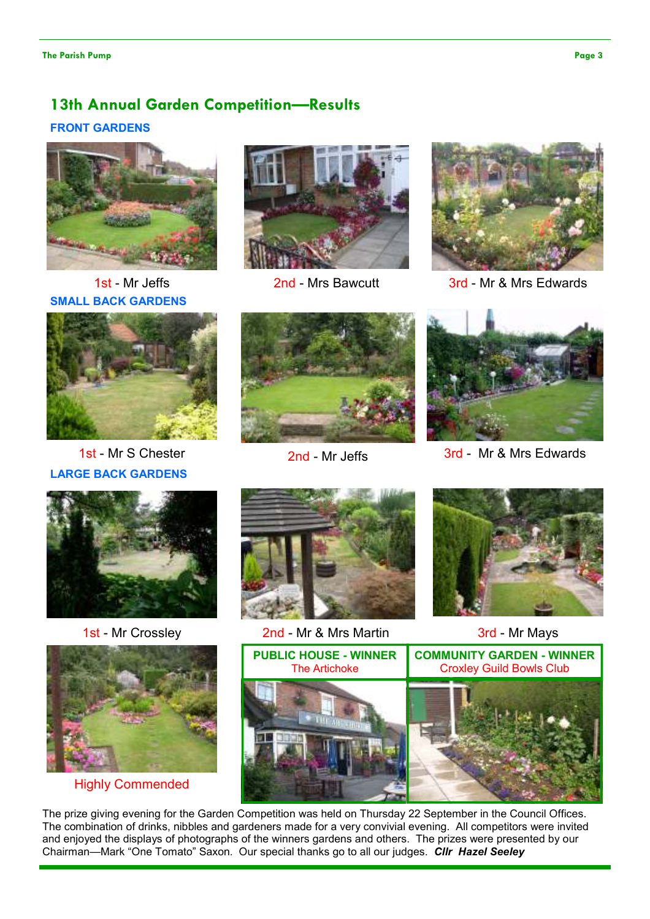## 13th Annual Garden Competition—Results FRONT GARDENS



SMALL BACK GARDENS



LARGE BACK GARDENS





1st - Mr Jeffs 2nd - Mrs Bawcutt 3rd - Mr & Mrs Edwards





1st - Mr S Chester 2nd - Mr Jeffs 3rd - Mr & Mrs Edwards





Highly Commended



1st - Mr Crossley 2nd - Mr & Mrs Martin 3rd - Mr Mays





The prize giving evening for the Garden Competition was held on Thursday 22 September in the Council Offices. The combination of drinks, nibbles and gardeners made for a very convivial evening. All competitors were invited and enjoyed the displays of photographs of the winners gardens and others. The prizes were presented by our Chairman—Mark "One Tomato" Saxon. Our special thanks go to all our judges. Cllr Hazel Seeley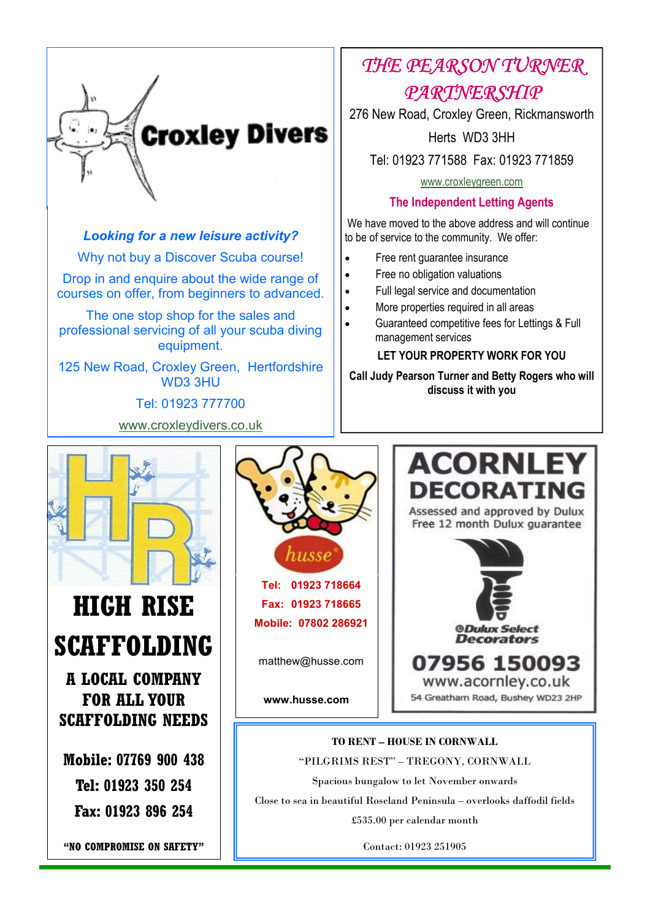

#### Looking for a new leisure activity?

Why not buy a Discover Scuba course!

Drop in and enquire about the wide range of courses on offer, from beginners to advanced.

The one stop shop for the sales and professional servicing of all your scuba diving equipment.

125 New Road, Croxley Green, Hertfordshire WD3 3HU

Tel: 01923 777700

www.croxleydivers.co.uk

# THE PEARSON TURNER PARTNERSHIP

276 New Road, Croxley Green, Rickmansworth

Herts WD3 3HH

Tel: 01923 771588 Fax: 01923 771859

www.croxleygreen.com

#### The Independent Letting Agents

 We have moved to the above address and will continue to be of service to the community. We offer:

- Free rent guarantee insurance
- Free no obligation valuations
- Full legal service and documentation
- More properties required in all areas
- Guaranteed competitive fees for Lettings & Full management services

#### LET YOUR PROPERTY WORK FOR YOU

Call Judy Pearson Turner and Betty Rogers who will discuss it with you



# HIGH RISE SCAFFOLDING

A LOCAL COMPANY FOR ALL YOUR SCAFFOLDING NEEDS

Mobile: 07769 900 438 Tel: 01923 350 254 Fax: 01923 896 254

"NO COMPROMISE ON SAFETY"



Tel: 01923 718664 Fax: 01923 718665 Mobile: 07802 286921

matthew@husse.com

www.husse.com



TO RENT – HOUSE IN CORNWALL "PILGRIMS REST" – TREGONY, CORNWALL Spacious bungalow to let November onwards Close to sea in beautiful Roseland Peninsula – overlooks daffodil fields

£535.00 per calendar month

Contact: 01923 251905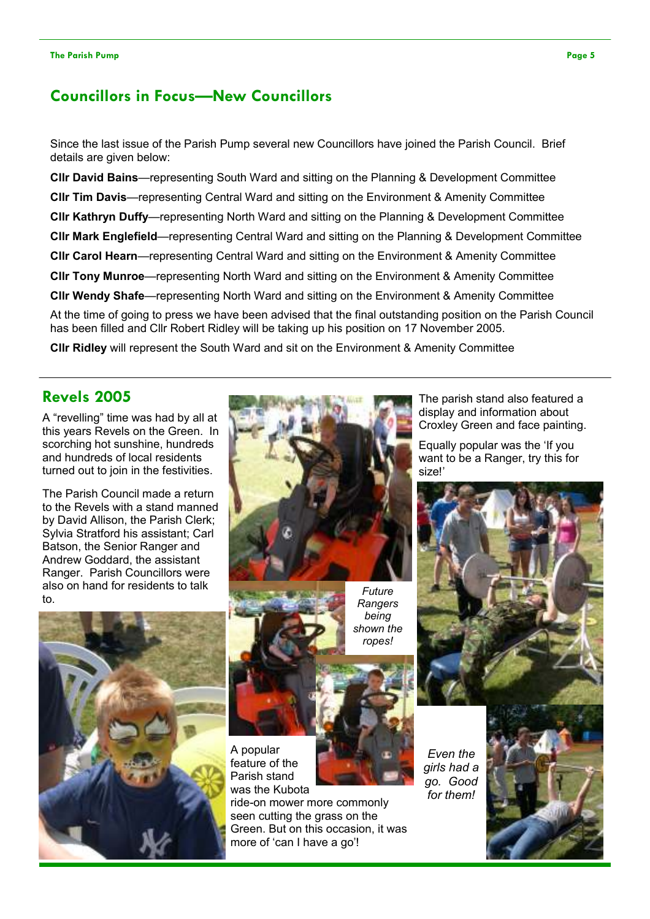## Councillors in Focus—New Councillors

Since the last issue of the Parish Pump several new Councillors have joined the Parish Council. Brief details are given below:

Cllr David Bains—representing South Ward and sitting on the Planning & Development Committee Cllr Tim Davis—representing Central Ward and sitting on the Environment & Amenity Committee Cllr Kathryn Duffy—representing North Ward and sitting on the Planning & Development Committee Cllr Mark Englefield—representing Central Ward and sitting on the Planning & Development Committee Cllr Carol Hearn—representing Central Ward and sitting on the Environment & Amenity Committee Cllr Tony Munroe—representing North Ward and sitting on the Environment & Amenity Committee Cllr Wendy Shafe—representing North Ward and sitting on the Environment & Amenity Committee At the time of going to press we have been advised that the final outstanding position on the Parish Council has been filled and Cllr Robert Ridley will be taking up his position on 17 November 2005.

Cllr Ridley will represent the South Ward and sit on the Environment & Amenity Committee

#### Revels 2005

A "revelling" time was had by all at this years Revels on the Green. In scorching hot sunshine, hundreds and hundreds of local residents turned out to join in the festivities.

The Parish Council made a return to the Revels with a stand manned by David Allison, the Parish Clerk; Sylvia Stratford his assistant; Carl Batson, the Senior Ranger and Andrew Goddard, the assistant Ranger. Parish Councillors were also on hand for residents to talk to.







Future **Rangers** being shown the ropes!



A popular feature of the Parish stand was the Kubota

ride-on mower more commonly seen cutting the grass on the Green. But on this occasion, it was more of 'can I have a go'!

Even the girls had a go. Good for them!





The parish stand also featured a display and information about Croxley Green and face painting.

Equally popular was the 'If you want to be a Ranger, try this for size!'

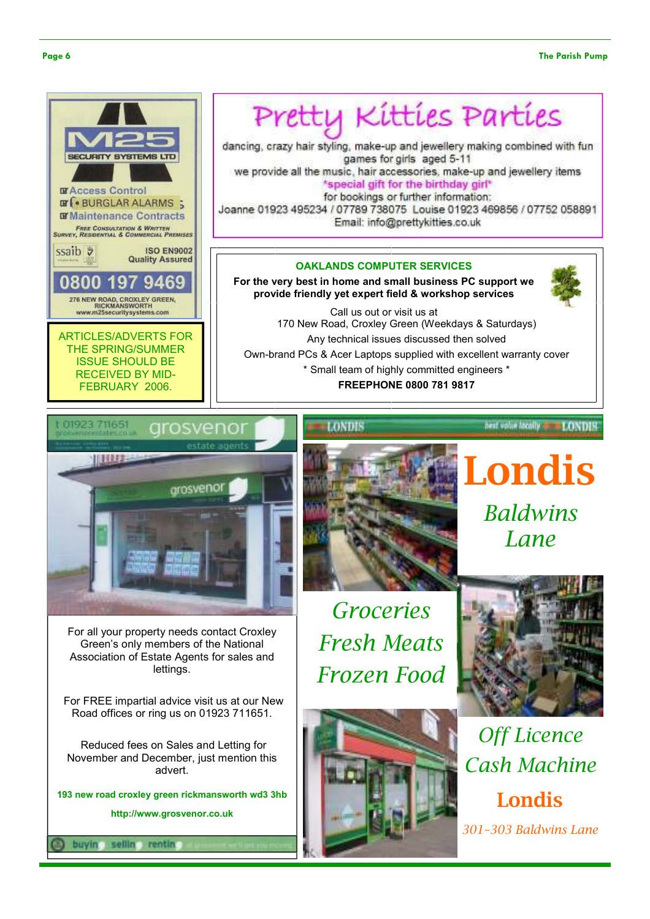

Pretty Kitties Parties

dancing, crazy hair styling, make-up and jewellery making combined with fun games for girls aged 5-11

we provide all the music, hair accessories, make-up and jewellery items \*special gift for the birthday girl\* for bookings or further information:

Joanne 01923 495234 / 07789 738075 Louise 01923 469856 / 07752 058891 Email: info@prettykitties.co.uk

#### OAKLANDS COMPUTER SERVICES

For the very best in home and small business PC support we provide friendly yet expert field & workshop services



LONDIS

Call us out or visit us at 170 New Road, Croxley Green (Weekdays & Saturdays) Any technical issues discussed then solved Own-brand PCs & Acer Laptops supplied with excellent warranty cover \* Small team of highly committed engineers \* FREEPHONE 0800 781 9817



For all your property needs contact Croxley Green's only members of the National Association of Estate Agents for sales and lettings.

 For FREE impartial advice visit us at our New Road offices or ring us on 01923 711651.

 Reduced fees on Sales and Letting for November and December, just mention this advert.

193 new road croxley green rickmansworth wd3 3hb http://www.grosvenor.co.uk

sellin rentin



LONDIS

Londis **Baldwins** Lane

nest volumlaçally

Groceries Fresh Meats Frozen Food





Off Licence Cash Machine Londis 301–303 Baldwins Lane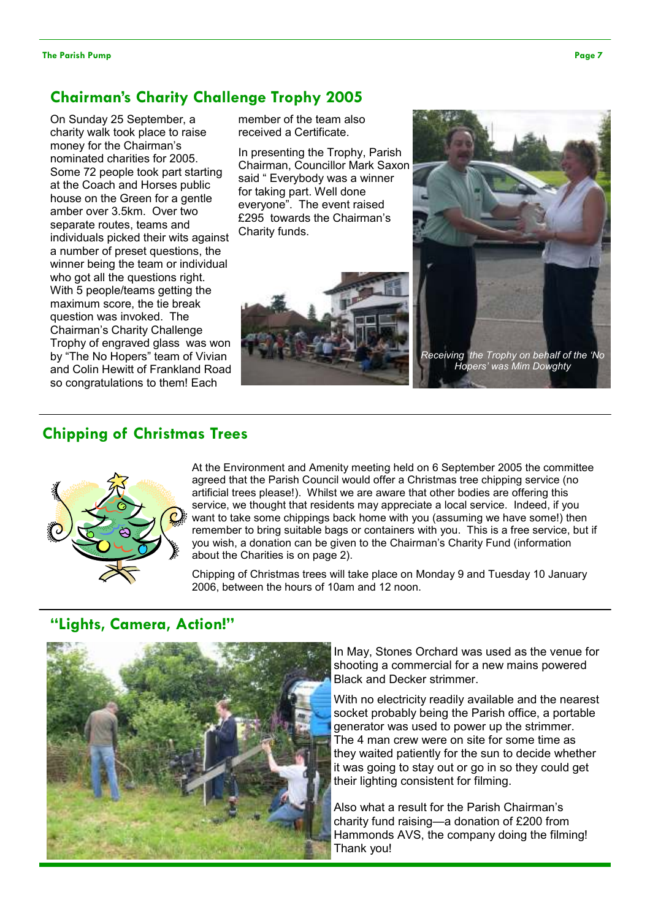#### Chairman's Charity Challenge Trophy 2005

On Sunday 25 September, a charity walk took place to raise money for the Chairman's nominated charities for 2005. Some 72 people took part starting at the Coach and Horses public house on the Green for a gentle amber over 3.5km. Over two separate routes, teams and individuals picked their wits against a number of preset questions, the winner being the team or individual who got all the questions right. With 5 people/teams getting the maximum score, the tie break question was invoked. The Chairman's Charity Challenge Trophy of engraved glass was won by "The No Hopers" team of Vivian and Colin Hewitt of Frankland Road so congratulations to them! Each

member of the team also received a Certificate.

In presenting the Trophy, Parish Chairman, Councillor Mark Saxon said " Everybody was a winner for taking part. Well done everyone". The event raised £295 towards the Chairman's Charity funds.





#### Chipping of Christmas Trees



At the Environment and Amenity meeting held on 6 September 2005 the committee agreed that the Parish Council would offer a Christmas tree chipping service (no artificial trees please!). Whilst we are aware that other bodies are offering this service, we thought that residents may appreciate a local service. Indeed, if you want to take some chippings back home with you (assuming we have some!) then remember to bring suitable bags or containers with you. This is a free service, but if you wish, a donation can be given to the Chairman's Charity Fund (information about the Charities is on page 2).

Chipping of Christmas trees will take place on Monday 9 and Tuesday 10 January 2006, between the hours of 10am and 12 noon.

#### "Lights, Camera, Action!"



In May, Stones Orchard was used as the venue for shooting a commercial for a new mains powered Black and Decker strimmer.

With no electricity readily available and the nearest socket probably being the Parish office, a portable generator was used to power up the strimmer. The 4 man crew were on site for some time as they waited patiently for the sun to decide whether it was going to stay out or go in so they could get their lighting consistent for filming.

Also what a result for the Parish Chairman's charity fund raising—a donation of £200 from Hammonds AVS, the company doing the filming! Thank you!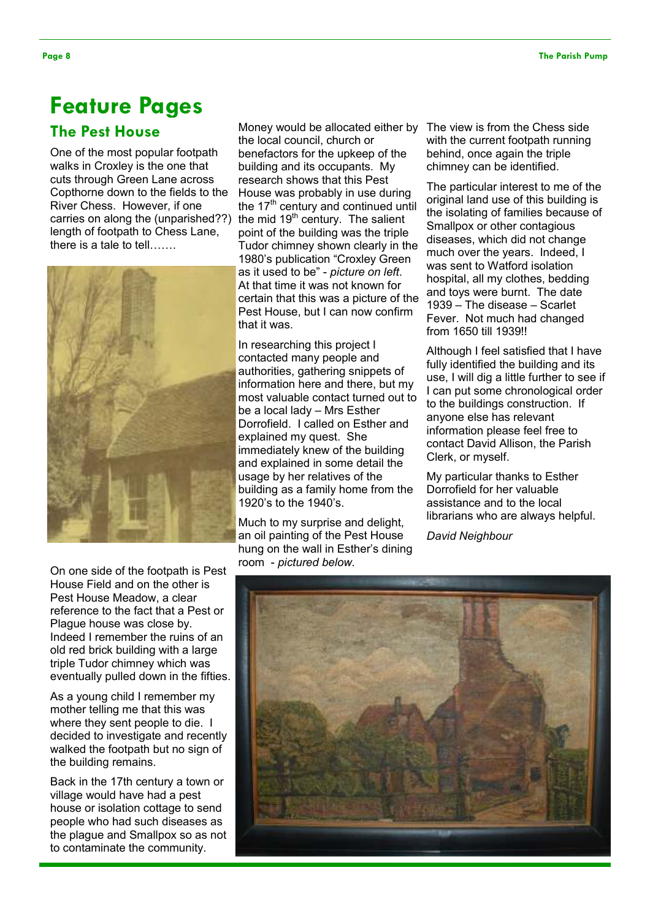# Feature Pages

## The Pest House

One of the most popular footpath walks in Croxley is the one that cuts through Green Lane across Copthorne down to the fields to the River Chess. However, if one carries on along the (unparished??) length of footpath to Chess Lane, there is a tale to tell…….



Money would be allocated either by The view is from the Chess side the local council, church or benefactors for the upkeep of the building and its occupants. My research shows that this Pest House was probably in use during the  $17<sup>th</sup>$  century and continued until the mid  $19<sup>th</sup>$  century. The salient point of the building was the triple Tudor chimney shown clearly in the 1980's publication "Croxley Green as it used to be" - picture on left. At that time it was not known for certain that this was a picture of the Pest House, but I can now confirm that it was.

In researching this project I contacted many people and authorities, gathering snippets of information here and there, but my most valuable contact turned out to be a local lady – Mrs Esther Dorrofield. I called on Esther and explained my quest. She immediately knew of the building and explained in some detail the usage by her relatives of the building as a family home from the 1920's to the 1940's.

Much to my surprise and delight, an oil painting of the Pest House hung on the wall in Esther's dining room - pictured below.

with the current footpath running behind, once again the triple chimney can be identified.

The particular interest to me of the original land use of this building is the isolating of families because of Smallpox or other contagious diseases, which did not change much over the years. Indeed, I was sent to Watford isolation hospital, all my clothes, bedding and toys were burnt. The date 1939 – The disease – Scarlet Fever. Not much had changed from 1650 till 1939!!

Although I feel satisfied that I have fully identified the building and its use, I will dig a little further to see if I can put some chronological order to the buildings construction. If anyone else has relevant information please feel free to contact David Allison, the Parish Clerk, or myself.

My particular thanks to Esther Dorrofield for her valuable assistance and to the local librarians who are always helpful.

David Neighbour

On one side of the footpath is Pest House Field and on the other is Pest House Meadow, a clear reference to the fact that a Pest or Plague house was close by. Indeed I remember the ruins of an old red brick building with a large triple Tudor chimney which was eventually pulled down in the fifties.

As a young child I remember my mother telling me that this was where they sent people to die. I decided to investigate and recently walked the footpath but no sign of the building remains.

Back in the 17th century a town or village would have had a pest house or isolation cottage to send people who had such diseases as the plague and Smallpox so as not to contaminate the community.

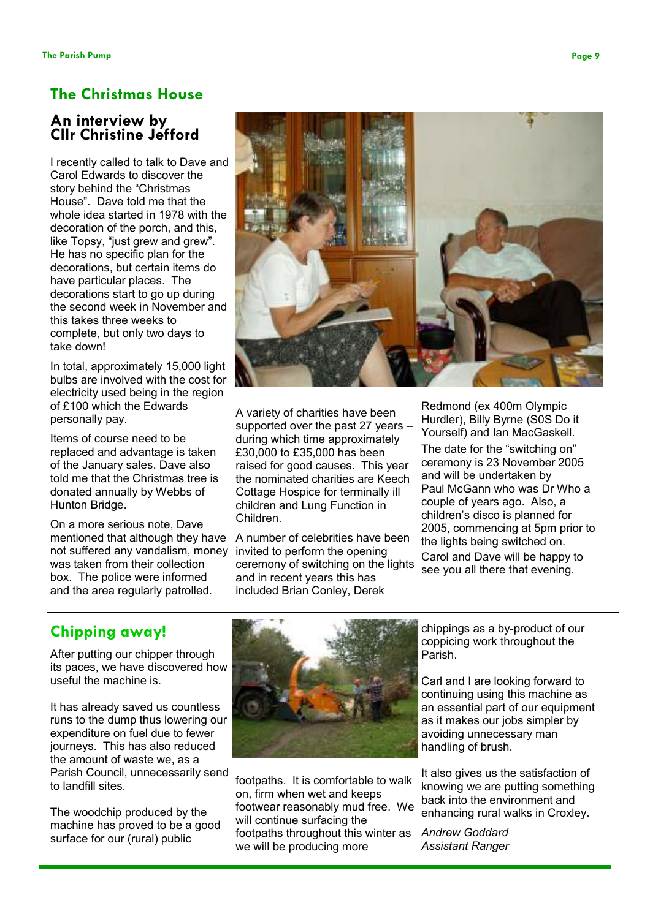## The Christmas House

#### An interview by Cllr Christine Jefford

I recently called to talk to Dave and Carol Edwards to discover the story behind the "Christmas House". Dave told me that the whole idea started in 1978 with the decoration of the porch, and this, like Topsy, "just grew and grew". He has no specific plan for the decorations, but certain items do have particular places. The decorations start to go up during the second week in November and this takes three weeks to complete, but only two days to take down!

In total, approximately 15,000 light bulbs are involved with the cost for electricity used being in the region of £100 which the Edwards personally pay.

Items of course need to be replaced and advantage is taken of the January sales. Dave also told me that the Christmas tree is donated annually by Webbs of Hunton Bridge.

On a more serious note, Dave mentioned that although they have not suffered any vandalism, money was taken from their collection box. The police were informed and the area regularly patrolled.



A variety of charities have been supported over the past 27 years – during which time approximately £30,000 to £35,000 has been raised for good causes. This year the nominated charities are Keech Cottage Hospice for terminally ill children and Lung Function in Children.

A number of celebrities have been invited to perform the opening ceremony of switching on the lights and in recent years this has included Brian Conley, Derek

Redmond (ex 400m Olympic Hurdler), Billy Byrne (S0S Do it Yourself) and Ian MacGaskell.

The date for the "switching on" ceremony is 23 November 2005 and will be undertaken by Paul McGann who was Dr Who a couple of years ago. Also, a children's disco is planned for 2005, commencing at 5pm prior to the lights being switched on. Carol and Dave will be happy to see you all there that evening.

## Chipping away!

After putting our chipper through its paces, we have discovered how useful the machine is.

It has already saved us countless runs to the dump thus lowering our expenditure on fuel due to fewer journeys. This has also reduced the amount of waste we, as a Parish Council, unnecessarily send to landfill sites.

The woodchip produced by the machine has proved to be a good surface for our (rural) public



footpaths. It is comfortable to walk on, firm when wet and keeps footwear reasonably mud free. We will continue surfacing the footpaths throughout this winter as we will be producing more

chippings as a by-product of our coppicing work throughout the Parish.

Carl and I are looking forward to continuing using this machine as an essential part of our equipment as it makes our jobs simpler by avoiding unnecessary man handling of brush.

It also gives us the satisfaction of knowing we are putting something back into the environment and enhancing rural walks in Croxley.

Andrew Goddard Assistant Ranger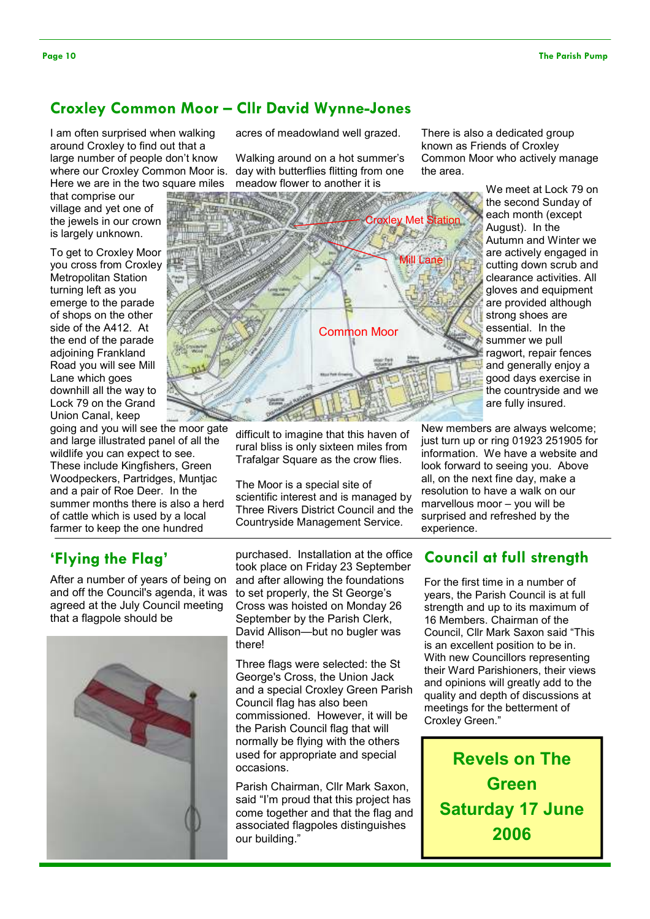# Croxley Common Moor – Cllr David Wynne-Jones

I am often surprised when walking around Croxley to find out that a large number of people don't know where our Croxley Common Moor is. Here we are in the two square miles<br>that comprise our

that comprise our village and yet one of the jewels in our crown is largely unknown.

To get to Croxley Moor you cross from Croxley Metropolitan Station turning left as you emerge to the parade of shops on the other side of the A412. At the end of the parade adjoining Frankland Road you will see Mill Lane which goes downhill all the way to Lock 79 on the Grand Union Canal, keep

going and you will see the moor gate and large illustrated panel of all the wildlife you can expect to see. These include Kingfishers, Green Woodpeckers, Partridges, Muntjac and a pair of Roe Deer. In the summer months there is also a herd of cattle which is used by a local farmer to keep the one hundred

## 'Flying the Flag'

After a number of years of being on and off the Council's agenda, it was agreed at the July Council meeting that a flagpole should be



acres of meadowland well grazed.

Walking around on a hot summer's day with butterflies flitting from one meadow flower to another it is



difficult to imagine that this haven of rural bliss is only sixteen miles from Trafalgar Square as the crow flies.

The Moor is a special site of scientific interest and is managed by Three Rivers District Council and the Countryside Management Service.

purchased. Installation at the office took place on Friday 23 September and after allowing the foundations to set properly, the St George's Cross was hoisted on Monday 26 September by the Parish Clerk, David Allison—but no bugler was there!

Three flags were selected: the St George's Cross, the Union Jack and a special Croxley Green Parish Council flag has also been commissioned. However, it will be the Parish Council flag that will normally be flying with the others used for appropriate and special occasions.

Parish Chairman, Cllr Mark Saxon, said "I'm proud that this project has come together and that the flag and associated flagpoles distinguishes our building."

There is also a dedicated group known as Friends of Croxley Common Moor who actively manage the area.

> We meet at Lock 79 on the second Sunday of each month (except August). In the Autumn and Winter we are actively engaged in cutting down scrub and clearance activities. All gloves and equipment are provided although strong shoes are essential. In the summer we pull ragwort, repair fences and generally enjoy a good days exercise in the countryside and we are fully insured.

New members are always welcome; just turn up or ring 01923 251905 for information. We have a website and look forward to seeing you. Above all, on the next fine day, make a resolution to have a walk on our marvellous moor – you will be surprised and refreshed by the experience.

#### Council at full strength

For the first time in a number of years, the Parish Council is at full strength and up to its maximum of 16 Members. Chairman of the Council, Cllr Mark Saxon said "This is an excellent position to be in. With new Councillors representing their Ward Parishioners, their views and opinions will greatly add to the quality and depth of discussions at meetings for the betterment of Croxley Green."

Revels on The Green Saturday 17 June 2006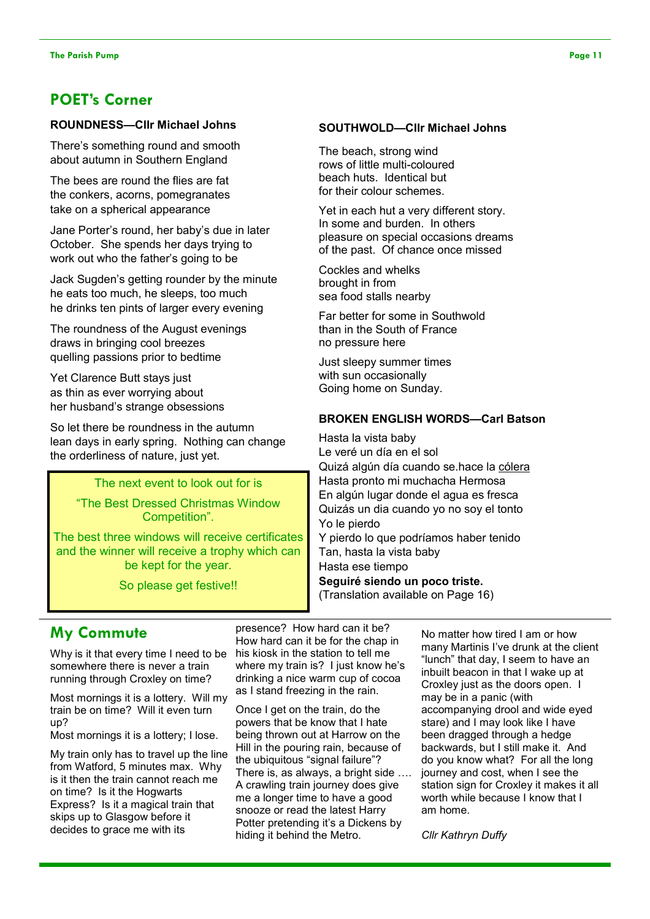#### POET's Corner

#### ROUNDNESS—Cllr Michael Johns

There's something round and smooth about autumn in Southern England

The bees are round the flies are fat the conkers, acorns, pomegranates take on a spherical appearance

Jane Porter's round, her baby's due in later October. She spends her days trying to work out who the father's going to be

Jack Sugden's getting rounder by the minute he eats too much, he sleeps, too much he drinks ten pints of larger every evening

The roundness of the August evenings draws in bringing cool breezes quelling passions prior to bedtime

Yet Clarence Butt stays just as thin as ever worrying about her husband's strange obsessions

So let there be roundness in the autumn lean days in early spring. Nothing can change the orderliness of nature, just yet.

#### The next event to look out for is

"The Best Dressed Christmas Window Competition".

The best three windows will receive certificates and the winner will receive a trophy which can be kept for the year.

So please get festive!!

#### SOUTHWOLD—Cllr Michael Johns

The beach, strong wind rows of little multi-coloured beach huts. Identical but for their colour schemes.

Yet in each hut a very different story. In some and burden. In others pleasure on special occasions dreams of the past. Of chance once missed

Cockles and whelks brought in from sea food stalls nearby

Far better for some in Southwold than in the South of France no pressure here

Just sleepy summer times with sun occasionally Going home on Sunday.

#### BROKEN ENGLISH WORDS—Carl Batson

Hasta la vista baby Le veré un día en el sol Quizá algún día cuando se.hace la cólera Hasta pronto mi muchacha Hermosa En algún lugar donde el agua es fresca Quizás un dia cuando yo no soy el tonto Yo le pierdo

Y pierdo lo que podríamos haber tenido Tan, hasta la vista baby Hasta ese tiempo Seguiré siendo un poco triste.

(Translation available on Page 16)

## My Commute

Why is it that every time I need to be somewhere there is never a train running through Croxley on time?

Most mornings it is a lottery. Will my train be on time? Will it even turn up?

Most mornings it is a lottery; I lose.

My train only has to travel up the line from Watford, 5 minutes max. Why is it then the train cannot reach me on time? Is it the Hogwarts Express? Is it a magical train that skips up to Glasgow before it decides to grace me with its

presence? How hard can it be? How hard can it be for the chap in his kiosk in the station to tell me where my train is? I just know he's drinking a nice warm cup of cocoa as I stand freezing in the rain.

Once I get on the train, do the powers that be know that I hate being thrown out at Harrow on the Hill in the pouring rain, because of the ubiquitous "signal failure"? There is, as always, a bright side …. A crawling train journey does give me a longer time to have a good snooze or read the latest Harry Potter pretending it's a Dickens by hiding it behind the Metro.

No matter how tired I am or how many Martinis I've drunk at the client "lunch" that day, I seem to have an inbuilt beacon in that I wake up at Croxley just as the doors open. I may be in a panic (with accompanying drool and wide eyed stare) and I may look like I have been dragged through a hedge backwards, but I still make it. And do you know what? For all the long journey and cost, when I see the station sign for Croxley it makes it all worth while because I know that I am home.

Cllr Kathryn Duffy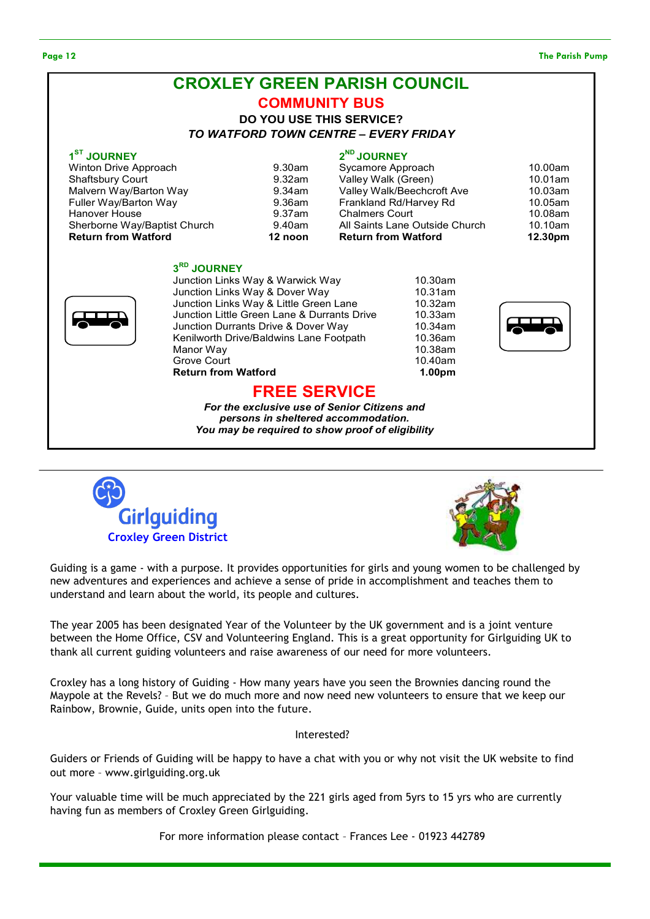#### Page 12 The Parish Pump and the Parish Pump and the Parish Pump and the Parish Pump and the Parish Pump and the Parish Pump and the Parish Pump and the Parish Pump and the Parish Pump and the Parish Pump and the Parish Pum







Guiding is a game - with a purpose. It provides opportunities for girls and young women to be challenged by new adventures and experiences and achieve a sense of pride in accomplishment and teaches them to understand and learn about the world, its people and cultures.

The year 2005 has been designated Year of the Volunteer by the UK government and is a joint venture between the Home Office, CSV and Volunteering England. This is a great opportunity for Girlguiding UK to thank all current guiding volunteers and raise awareness of our need for more volunteers.

Croxley has a long history of Guiding - How many years have you seen the Brownies dancing round the Maypole at the Revels? – But we do much more and now need new volunteers to ensure that we keep our Rainbow, Brownie, Guide, units open into the future.

#### Interested?

Guiders or Friends of Guiding will be happy to have a chat with you or why not visit the UK website to find out more – www.girlguiding.org.uk

Your valuable time will be much appreciated by the 221 girls aged from 5yrs to 15 yrs who are currently having fun as members of Croxley Green Girlguiding.

For more information please contact – Frances Lee - 01923 442789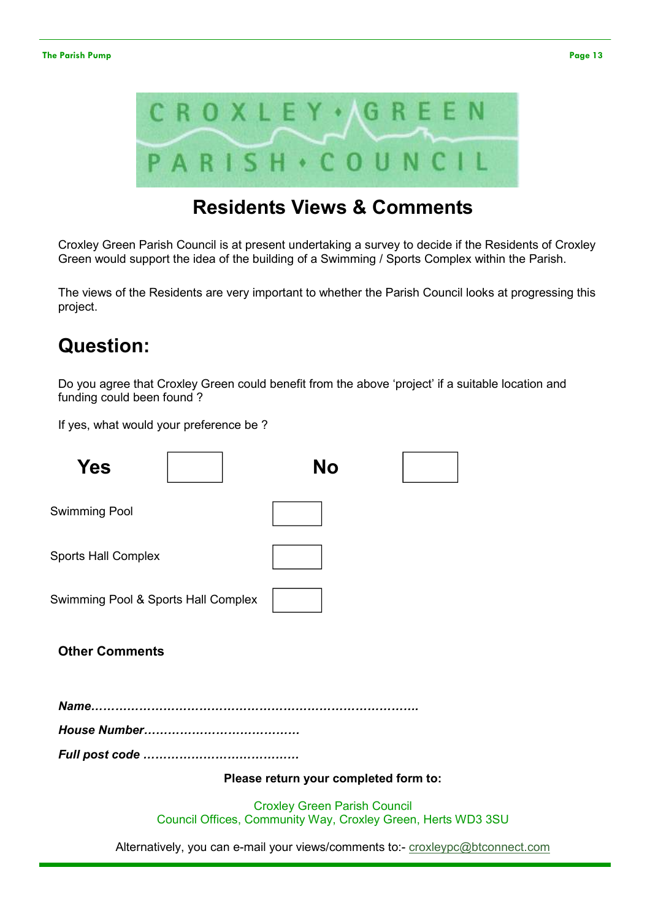

# Residents Views & Comments

Croxley Green Parish Council is at present undertaking a survey to decide if the Residents of Croxley Green would support the idea of the building of a Swimming / Sports Complex within the Parish.

The views of the Residents are very important to whether the Parish Council looks at progressing this project.

# Question:

Do you agree that Croxley Green could benefit from the above 'project' if a suitable location and funding could been found ?

If yes, what would your preference be ?

| Yes                                 | No                                    |                                                                                |  |
|-------------------------------------|---------------------------------------|--------------------------------------------------------------------------------|--|
| <b>Swimming Pool</b>                |                                       |                                                                                |  |
| <b>Sports Hall Complex</b>          |                                       |                                                                                |  |
| Swimming Pool & Sports Hall Complex |                                       |                                                                                |  |
| <b>Other Comments</b>               |                                       |                                                                                |  |
|                                     |                                       |                                                                                |  |
|                                     |                                       |                                                                                |  |
|                                     |                                       |                                                                                |  |
|                                     | Please return your completed form to: |                                                                                |  |
|                                     | <b>Croxley Green Parish Council</b>   | Council Offices, Community Way, Croxley Green, Herts WD3 3SU                   |  |
|                                     |                                       | Alternatively, you can e-mail your views/comments to:- croxleypc@btconnect.com |  |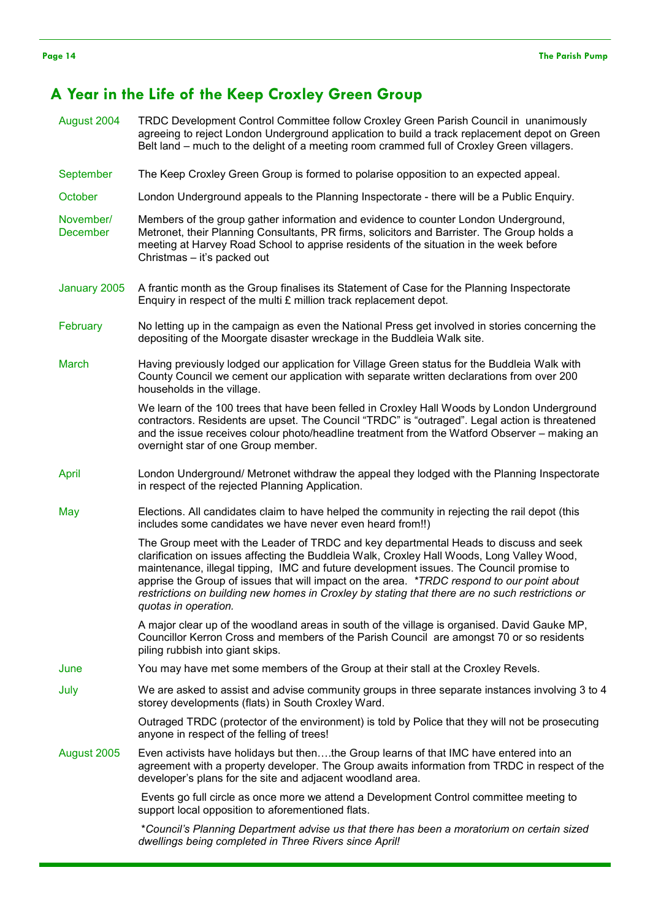#### A Year in the Life of the Keep Croxley Green Group

August 2004 TRDC Development Control Committee follow Croxley Green Parish Council in unanimously agreeing to reject London Underground application to build a track replacement depot on Green Belt land – much to the delight of a meeting room crammed full of Croxley Green villagers. September The Keep Croxley Green Group is formed to polarise opposition to an expected appeal. October London Underground appeals to the Planning Inspectorate - there will be a Public Enquiry. November/ December Members of the group gather information and evidence to counter London Underground, Metronet, their Planning Consultants, PR firms, solicitors and Barrister. The Group holds a meeting at Harvey Road School to apprise residents of the situation in the week before Christmas – it's packed out January 2005 A frantic month as the Group finalises its Statement of Case for the Planning Inspectorate Enquiry in respect of the multi £ million track replacement depot. February No letting up in the campaign as even the National Press get involved in stories concerning the depositing of the Moorgate disaster wreckage in the Buddleia Walk site. March Having previously lodged our application for Village Green status for the Buddleia Walk with County Council we cement our application with separate written declarations from over 200 households in the village. We learn of the 100 trees that have been felled in Croxley Hall Woods by London Underground contractors. Residents are upset. The Council "TRDC" is "outraged". Legal action is threatened and the issue receives colour photo/headline treatment from the Watford Observer – making an overnight star of one Group member. April London Underground/ Metronet withdraw the appeal they lodged with the Planning Inspectorate in respect of the rejected Planning Application. May Elections. All candidates claim to have helped the community in rejecting the rail depot (this includes some candidates we have never even heard from!!) The Group meet with the Leader of TRDC and key departmental Heads to discuss and seek clarification on issues affecting the Buddleia Walk, Croxley Hall Woods, Long Valley Wood, maintenance, illegal tipping, IMC and future development issues. The Council promise to apprise the Group of issues that will impact on the area. \*TRDC respond to our point about restrictions on building new homes in Croxley by stating that there are no such restrictions or quotas in operation. A major clear up of the woodland areas in south of the village is organised. David Gauke MP, Councillor Kerron Cross and members of the Parish Council are amongst 70 or so residents piling rubbish into giant skips. June You may have met some members of the Group at their stall at the Croxley Revels. July We are asked to assist and advise community groups in three separate instances involving 3 to 4 storey developments (flats) in South Croxley Ward. Outraged TRDC (protector of the environment) is told by Police that they will not be prosecuting anyone in respect of the felling of trees! August 2005 Even activists have holidays but then….the Group learns of that IMC have entered into an agreement with a property developer. The Group awaits information from TRDC in respect of the developer's plans for the site and adjacent woodland area. Events go full circle as once more we attend a Development Control committee meeting to support local opposition to aforementioned flats. \*Council's Planning Department advise us that there has been a moratorium on certain sized

dwellings being completed in Three Rivers since April!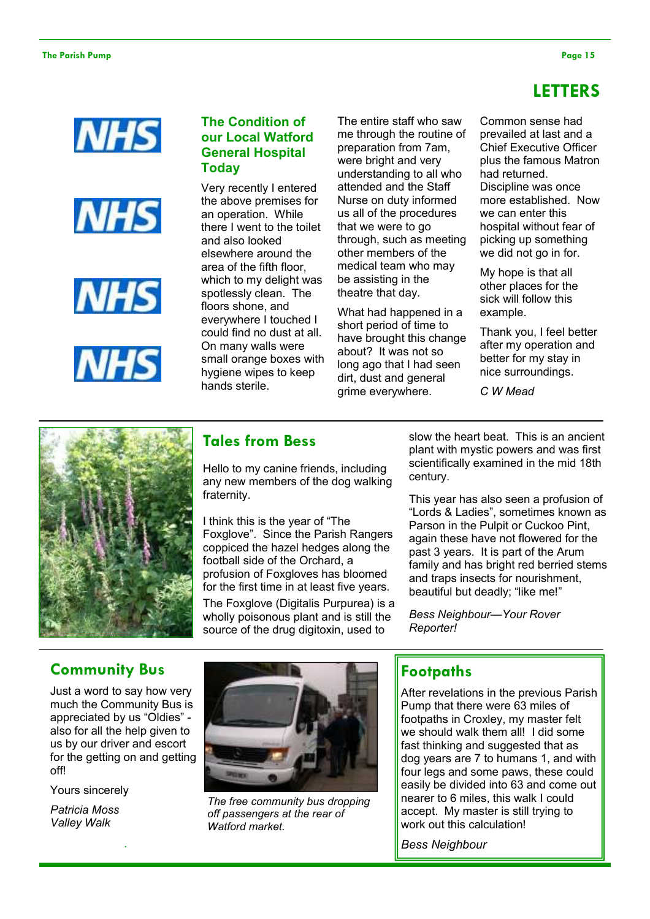# LETTERS









#### The Condition of our Local Watford General Hospital Today

Very recently I entered the above premises for an operation. While there I went to the toilet and also looked elsewhere around the area of the fifth floor, which to my delight was spotlessly clean. The floors shone, and everywhere I touched I could find no dust at all. On many walls were small orange boxes with hygiene wipes to keep hands sterile.

The entire staff who saw me through the routine of preparation from 7am, were bright and very understanding to all who attended and the Staff Nurse on duty informed us all of the procedures that we were to go through, such as meeting other members of the medical team who may be assisting in the theatre that day.

What had happened in a short period of time to have brought this change about? It was not so long ago that I had seen dirt, dust and general grime everywhere.

Common sense had prevailed at last and a Chief Executive Officer plus the famous Matron had returned. Discipline was once more established. Now we can enter this hospital without fear of picking up something we did not go in for.

My hope is that all other places for the sick will follow this example.

Thank you, I feel better after my operation and better for my stay in nice surroundings.

C W Mead



#### Tales from Bess

Hello to my canine friends, including any new members of the dog walking fraternity.

I think this is the year of "The Foxglove". Since the Parish Rangers coppiced the hazel hedges along the football side of the Orchard, a profusion of Foxgloves has bloomed for the first time in at least five years.

The Foxglove (Digitalis Purpurea) is a wholly poisonous plant and is still the source of the drug digitoxin, used to

slow the heart beat. This is an ancient plant with mystic powers and was first scientifically examined in the mid 18th century.

This year has also seen a profusion of "Lords & Ladies", sometimes known as Parson in the Pulpit or Cuckoo Pint, again these have not flowered for the past 3 years. It is part of the Arum family and has bright red berried stems and traps insects for nourishment, beautiful but deadly; "like me!"

Bess Neighbour—Your Rover Reporter!

# Community Bus

Just a word to say how very much the Community Bus is appreciated by us "Oldies" also for all the help given to us by our driver and escort for the getting on and getting off!

.

Yours sincerely

Patricia Moss Valley Walk



The free community bus dropping off passengers at the rear of Watford market.

#### **Footpaths**

After revelations in the previous Parish Pump that there were 63 miles of footpaths in Croxley, my master felt we should walk them all! I did some fast thinking and suggested that as dog years are 7 to humans 1, and with four legs and some paws, these could easily be divided into 63 and come out nearer to 6 miles, this walk I could accept. My master is still trying to work out this calculation!

Bess Neighbour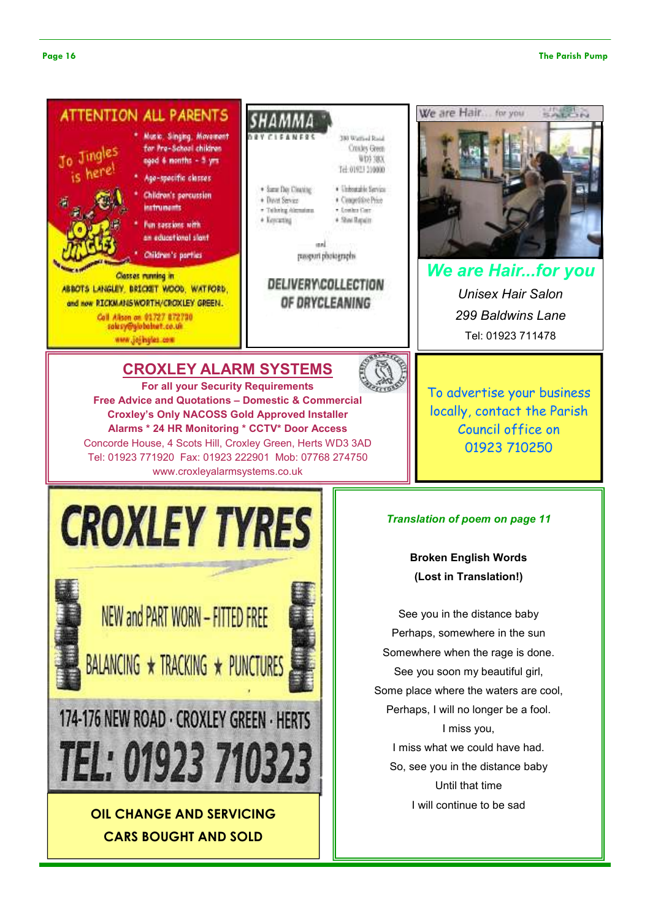#### Page 16 The Parish Pump



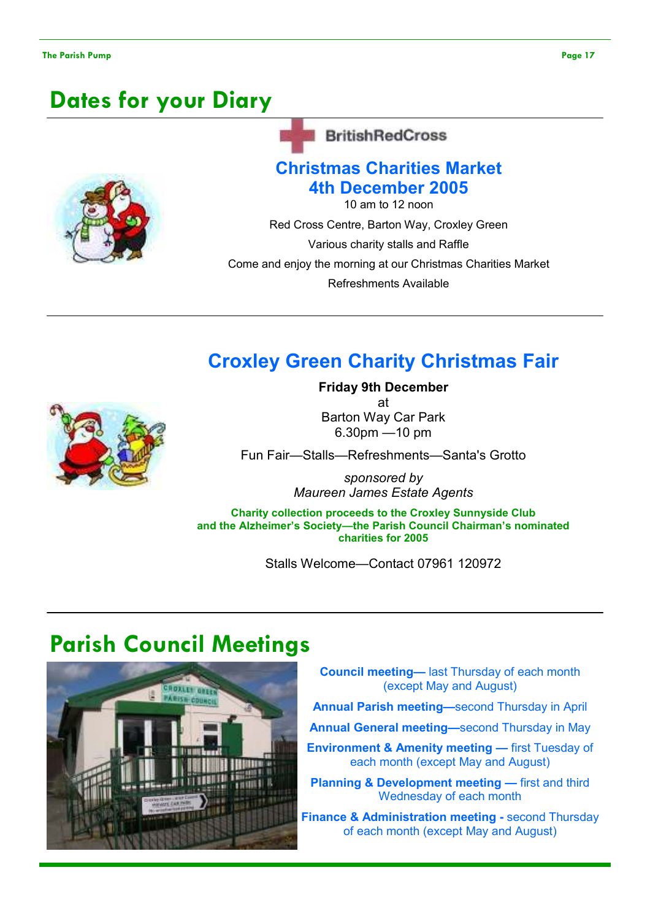# Dates for your Diary



#### **BritishRedCross**

# Christmas Charities Market 4th December 2005

10 am to 12 noon

Red Cross Centre, Barton Way, Croxley Green

Various charity stalls and Raffle

Come and enjoy the morning at our Christmas Charities Market

Refreshments Available

# Croxley Green Charity Christmas Fair



Friday 9th December at Barton Way Car Park 6.30pm —10 pm

Fun Fair—Stalls—Refreshments—Santa's Grotto

sponsored by Maureen James Estate Agents

Charity collection proceeds to the Croxley Sunnyside Club and the Alzheimer's Society—the Parish Council Chairman's nominated charities for 2005

Stalls Welcome—Contact 07961 120972

# Parish Council Meetings



Council meeting— last Thursday of each month (except May and August)

- Annual Parish meeting—second Thursday in April
- Annual General meeting—second Thursday in May
- **Environment & Amenity meeting first Tuesday of** each month (except May and August)

Planning & Development meeting — first and third Wednesday of each month

Finance & Administration meeting - second Thursday of each month (except May and August)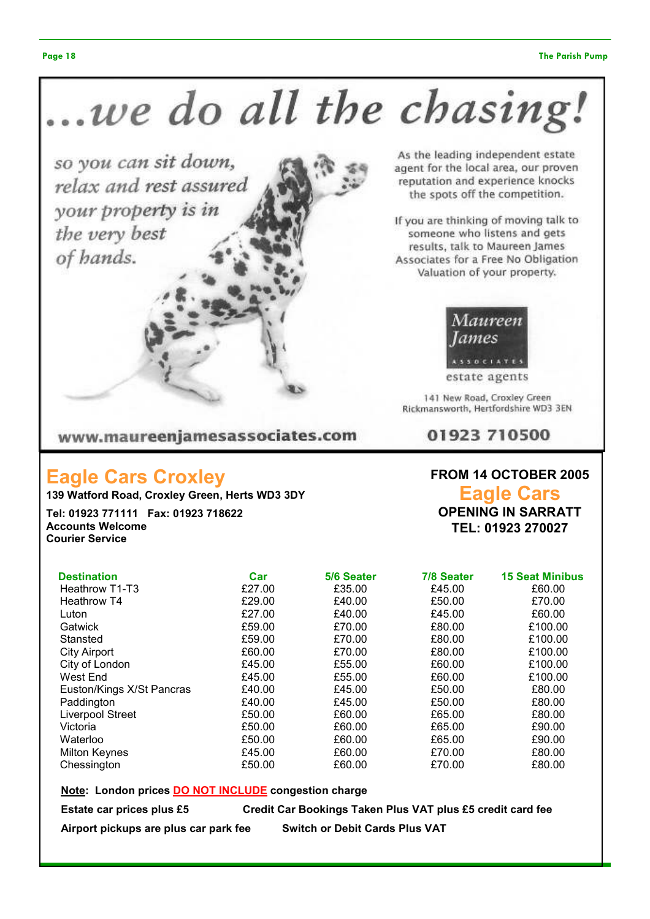# ..we do all the chasing.

www.maureenjamesassociates.com

# Eagle Cars Croxley

139 Watford Road, Croxley Green, Herts WD3 3DY

Tel: 01923 771111 Fax: 01923 718622 Accounts Welcome Courier Service

| <b>Destination</b>        | Car    | 5/6 Seater | 7/8 Seater | <b>15 Seat Minibus</b> |
|---------------------------|--------|------------|------------|------------------------|
| Heathrow T1-T3            | £27.00 | £35.00     | £45.00     | £60.00                 |
| <b>Heathrow T4</b>        | £29.00 | £40.00     | £50.00     | £70.00                 |
| Luton                     | £27.00 | £40.00     | £45.00     | £60.00                 |
| Gatwick                   | £59.00 | £70.00     | £80.00     | £100.00                |
| Stansted                  | £59.00 | £70.00     | £80.00     | £100.00                |
| <b>City Airport</b>       | £60.00 | £70.00     | £80.00     | £100.00                |
| City of London            | £45.00 | £55.00     | £60.00     | £100.00                |
| West End                  | £45.00 | £55.00     | £60.00     | £100.00                |
| Euston/Kings X/St Pancras | £40.00 | £45.00     | £50.00     | £80.00                 |
| Paddington                | £40.00 | £45.00     | £50.00     | £80.00                 |
| Liverpool Street          | £50.00 | £60.00     | £65.00     | £80.00                 |
| Victoria                  | £50.00 | £60.00     | £65.00     | £90.00                 |
| Waterloo                  | £50.00 | £60.00     | £65.00     | £90.00                 |
| <b>Milton Keynes</b>      | £45.00 | £60.00     | £70.00     | £80.00                 |
| Chessington               | £50.00 | £60.00     | £70.00     | £80.00                 |

Note: London prices DO NOT INCLUDE congestion charge

Estate car prices plus £5 Credit Car Bookings Taken Plus VAT plus £5 credit card fee

Airport pickups are plus car park fee Switch or Debit Cards Plus VAT

FROM 14 OCTOBER 2005

Eagle Cars OPENING IN SARRATT

TEL: 01923 270027



results, talk to Maureen James<br>Associates for a Free No Obligation<br>Valuation of your property.

If you are thinking of moving talk to

someone who listens and gets

As the leading independent estate

agent for the local area, our proven

estate agents

141 New Road, Croxley Green Rickmansworth, Hertfordshire WD3 3EN

01923 710500

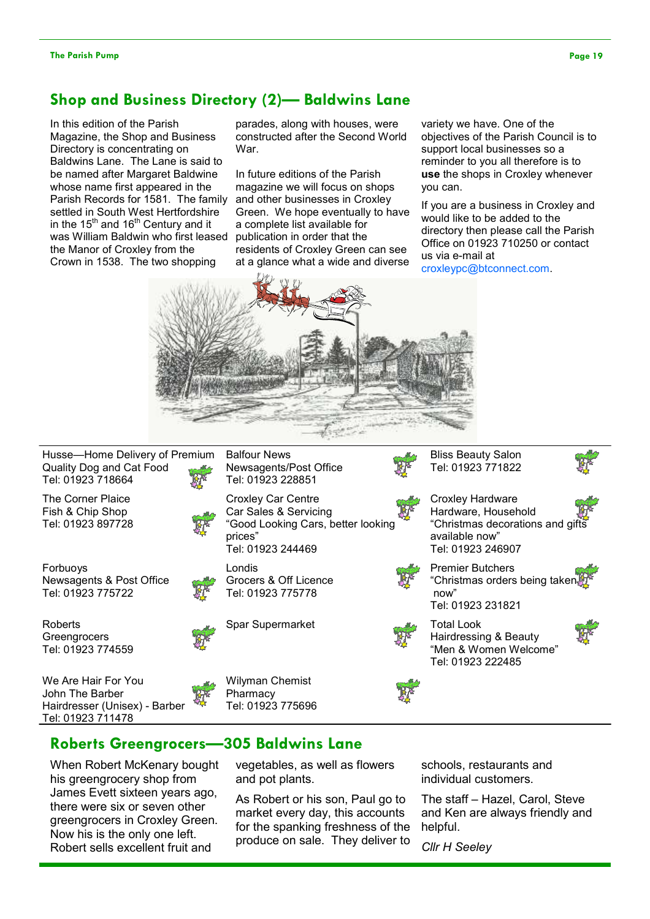## Shop and Business Directory (2)— Baldwins Lane

In this edition of the Parish Magazine, the Shop and Business Directory is concentrating on Baldwins Lane. The Lane is said to be named after Margaret Baldwine whose name first appeared in the Parish Records for 1581. The family settled in South West Hertfordshire in the 15<sup>th</sup> and 16<sup>th</sup> Century and it was William Baldwin who first leased publication in order that the the Manor of Croxley from the Crown in 1538. The two shopping

parades, along with houses, were constructed after the Second World War.

In future editions of the Parish magazine we will focus on shops and other businesses in Croxley Green. We hope eventually to have a complete list available for residents of Croxley Green can see at a glance what a wide and diverse

variety we have. One of the objectives of the Parish Council is to support local businesses so a reminder to you all therefore is to use the shops in Croxley whenever you can.

If you are a business in Croxley and would like to be added to the directory then please call the Parish Office on 01923 710250 or contact us via e-mail at

croxleypc@btconnect.com.



Husse—Home Delivery of Premium Quality Dog and Cat Food Tel: 01923 718664

The Corner Plaice Fish & Chip Shop Tel: 01923 897728

Forbuoys Newsagents & Post Office Tel: 01923 775722

Roberts **Greengrocers** Tel: 01923 774559

We Are Hair For You John The Barber Hairdresser (Unisex) - Barber Tel: 01923 711478

Balfour News Newsagents/Post Office Tel: 01923 228851

Croxley Car Centre Car Sales & Servicing

Tel: 01923 244469

Grocers & Off Licence Tel: 01923 775778

prices"

Londis



"Good Looking Cars, better looking Hardware, Household available now" Tel: 01923 246907



Premier Butchers "Christmas orders being take now"

"Christmas decorations and gift



Bliss Beauty Salon Tel: 01923 771822

Croxley Hardware



Hairdressing & Beauty "Men & Women Welcome" Tel: 01923 222485



vegetables, as well as flowers

As Robert or his son, Paul go to market every day, this accounts for the spanking freshness of the produce on sale. They deliver to

# Roberts Greengrocers—305 Baldwins Lane

When Robert McKenary bought his greengrocery shop from James Evett sixteen years ago, there were six or seven other greengrocers in Croxley Green. Now his is the only one left. Robert sells excellent fruit and



Wilyman Chemist **Pharmacy** Tel: 01923 775696

and pot plants.



schools, restaurants and individual customers.

The staff – Hazel, Carol, Steve and Ken are always friendly and helpful.

Cllr H Seeley